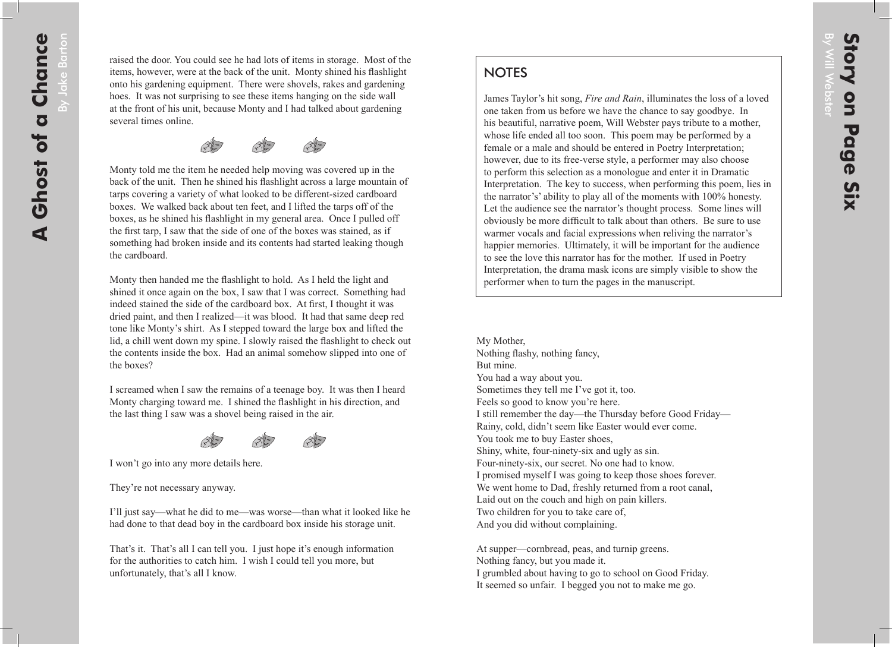## **NOTES**

James Taylor's hit song, *Fire and Rain*, illuminates the loss of a loved one taken from us before we have the chance to say goodbye. In his beautiful, narrative poem, Will Webster pays tribute to a mother, whose life ended all too soon. This poem may be performed by a female or a male and should be entered in Poetry Interpretation; however, due to its free-verse style, a performer may also choose to perform this selection as a monologue and enter it in Dramatic Interpretation. The key to success, when performing this poem, lies in the narrator's' ability to play all of the moments with 100% honesty. Let the audience see the narrator's thought process. Some lines will obviously be more difficult to talk about than others. Be sure to use warmer vocals and facial expressions when reliving the narrator's happier memories. Ultimately, it will be important for the audience to see the love this narrator has for the mother. If used in Poetry Interpretation, the drama mask icons are simply visible to show the performer when to turn the pages in the manuscript.

My Mother, Nothing flashy, nothing fancy, But mine. You had a way about you. Sometimes they tell me I've got it, too. Feels so good to know you're here. I still remember the day—the Thursday before Good Friday— Rainy, cold, didn't seem like Easter would ever come. You took me to buy Easter shoes, Shiny, white, four-ninety-six and ugly as sin. Four-ninety-six, our secret. No one had to know. I promised myself I was going to keep those shoes forever. We went home to Dad, freshly returned from a root canal, Laid out on the couch and high on pain killers. Two children for you to take care of, And you did without complaining.

At supper—cornbread, peas, and turnip greens. Nothing fancy, but you made it. I grumbled about having to go to school on Good Friday. It seemed so unfair. I begged you not to make me go.

By Will Webster